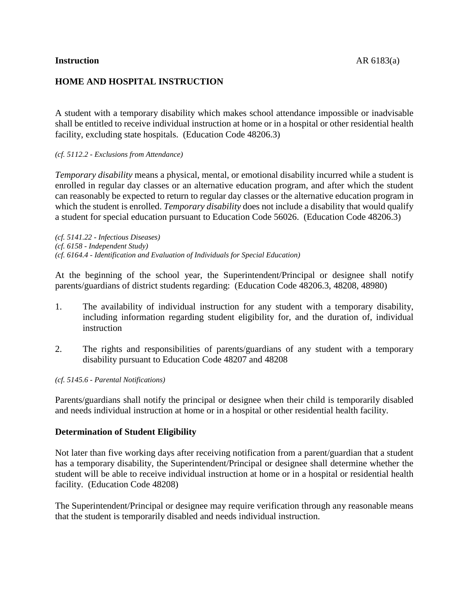## **Instruction** AR 6183(a)

# **HOME AND HOSPITAL INSTRUCTION**

A student with a temporary disability which makes school attendance impossible or inadvisable shall be entitled to receive individual instruction at home or in a hospital or other residential health facility, excluding state hospitals. (Education Code 48206.3)

## *(cf. 5112.2 - Exclusions from Attendance)*

*Temporary disability* means a physical, mental, or emotional disability incurred while a student is enrolled in regular day classes or an alternative education program, and after which the student can reasonably be expected to return to regular day classes or the alternative education program in which the student is enrolled. *Temporary disability* does not include a disability that would qualify a student for special education pursuant to Education Code 56026. (Education Code 48206.3)

*(cf. 5141.22 - Infectious Diseases) (cf. 6158 - Independent Study) (cf. 6164.4 - Identification and Evaluation of Individuals for Special Education)*

At the beginning of the school year, the Superintendent/Principal or designee shall notify parents/guardians of district students regarding: (Education Code 48206.3, 48208, 48980)

- 1. The availability of individual instruction for any student with a temporary disability, including information regarding student eligibility for, and the duration of, individual instruction
- 2. The rights and responsibilities of parents/guardians of any student with a temporary disability pursuant to Education Code 48207 and 48208

### *(cf. 5145.6 - Parental Notifications)*

Parents/guardians shall notify the principal or designee when their child is temporarily disabled and needs individual instruction at home or in a hospital or other residential health facility.

# **Determination of Student Eligibility**

Not later than five working days after receiving notification from a parent/guardian that a student has a temporary disability, the Superintendent/Principal or designee shall determine whether the student will be able to receive individual instruction at home or in a hospital or residential health facility. (Education Code 48208)

The Superintendent/Principal or designee may require verification through any reasonable means that the student is temporarily disabled and needs individual instruction.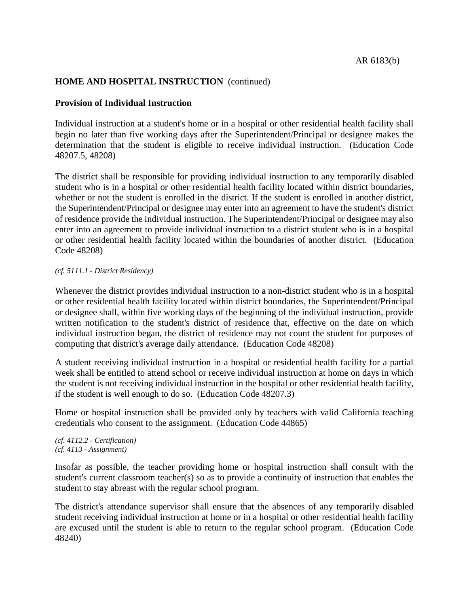# **HOME AND HOSPITAL INSTRUCTION** (continued)

# **Provision of Individual Instruction**

Individual instruction at a student's home or in a hospital or other residential health facility shall begin no later than five working days after the Superintendent/Principal or designee makes the determination that the student is eligible to receive individual instruction. (Education Code 48207.5, 48208)

The district shall be responsible for providing individual instruction to any temporarily disabled student who is in a hospital or other residential health facility located within district boundaries, whether or not the student is enrolled in the district. If the student is enrolled in another district, the Superintendent/Principal or designee may enter into an agreement to have the student's district of residence provide the individual instruction. The Superintendent/Principal or designee may also enter into an agreement to provide individual instruction to a district student who is in a hospital or other residential health facility located within the boundaries of another district. (Education Code 48208)

#### *(cf. 5111.1 - District Residency)*

Whenever the district provides individual instruction to a non-district student who is in a hospital or other residential health facility located within district boundaries, the Superintendent/Principal or designee shall, within five working days of the beginning of the individual instruction, provide written notification to the student's district of residence that, effective on the date on which individual instruction began, the district of residence may not count the student for purposes of computing that district's average daily attendance. (Education Code 48208)

A student receiving individual instruction in a hospital or residential health facility for a partial week shall be entitled to attend school or receive individual instruction at home on days in which the student is not receiving individual instruction in the hospital or other residential health facility, if the student is well enough to do so. (Education Code 48207.3)

Home or hospital instruction shall be provided only by teachers with valid California teaching credentials who consent to the assignment. (Education Code 44865)

#### *(cf. 4112.2 - Certification) (cf. 4113 - Assignment)*

Insofar as possible, the teacher providing home or hospital instruction shall consult with the student's current classroom teacher(s) so as to provide a continuity of instruction that enables the student to stay abreast with the regular school program.

The district's attendance supervisor shall ensure that the absences of any temporarily disabled student receiving individual instruction at home or in a hospital or other residential health facility are excused until the student is able to return to the regular school program. (Education Code 48240)